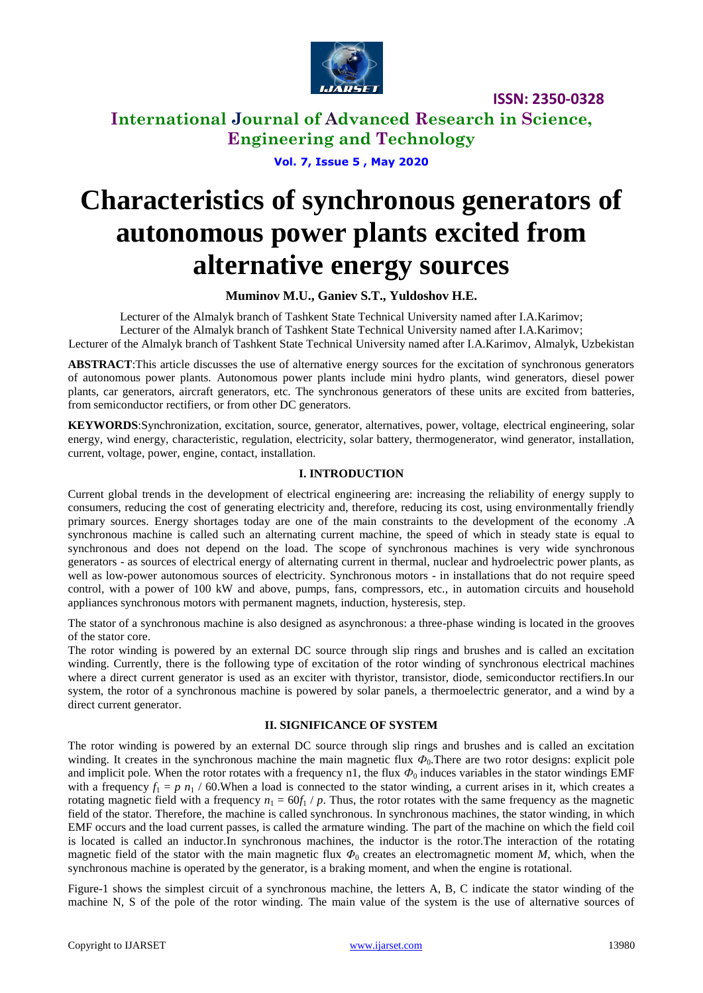

**International Journal of Advanced Research in Science, Engineering and Technology**

**Vol. 7, Issue 5 , May 2020**

# **Characteristics of synchronous generators of autonomous power plants excited from alternative energy sources**

**Muminov M.U., Ganiev S.T., Yuldoshov H.E.**

Lecturer of the Almalyk branch of Tashkent State Technical University named after I.A.Karimov; Lecturer of the Almalyk branch of Tashkent State Technical University named after I.A.Karimov; Lecturer of the Almalyk branch of Tashkent State Technical University named after I.A.Karimov, Almalyk, Uzbekistan

**ABSTRACT**:This article discusses the use of alternative energy sources for the excitation of synchronous generators of autonomous power plants. Autonomous power plants include mini hydro plants, wind generators, diesel power plants, car generators, aircraft generators, etc. The synchronous generators of these units are excited from batteries, from semiconductor rectifiers, or from other DC generators.

**KEYWORDS**:Synchronization, excitation, source, generator, alternatives, power, voltage, electrical engineering, solar energy, wind energy, characteristic, regulation, electricity, solar battery, thermogenerator, wind generator, installation, current, voltage, power, engine, contact, installation.

#### **I. INTRODUCTION**

Current global trends in the development of electrical engineering are: increasing the reliability of energy supply to consumers, reducing the cost of generating electricity and, therefore, reducing its cost, using environmentally friendly primary sources. Energy shortages today are one of the main constraints to the development of the economy .A synchronous machine is called such an alternating current machine, the speed of which in steady state is equal to synchronous and does not depend on the load. The scope of synchronous machines is very wide synchronous generators - as sources of electrical energy of alternating current in thermal, nuclear and hydroelectric power plants, as well as low-power autonomous sources of electricity. Synchronous motors - in installations that do not require speed control, with a power of 100 kW and above, pumps, fans, compressors, etc., in automation circuits and household appliances synchronous motors with permanent magnets, induction, hysteresis, step.

The stator of a synchronous machine is also designed as asynchronous: a three-phase winding is located in the grooves of the stator core.

The rotor winding is powered by an external DC source through slip rings and brushes and is called an excitation winding. Currently, there is the following type of excitation of the rotor winding of synchronous electrical machines where a direct current generator is used as an exciter with thyristor, transistor, diode, semiconductor rectifiers.In our system, the rotor of a synchronous machine is powered by solar panels, a thermoelectric generator, and a wind by a direct current generator.

#### **II. SIGNIFICANCE OF SYSTEM**

The rotor winding is powered by an external DC source through slip rings and brushes and is called an excitation winding. It creates in the synchronous machine the main magnetic flux  $\Phi_0$ . There are two rotor designs: explicit pole and implicit pole. When the rotor rotates with a frequency n1, the flux  $\Phi_0$  induces variables in the stator windings EMF with a frequency  $f_1 = p n_1 / 60$ . When a load is connected to the stator winding, a current arises in it, which creates a rotating magnetic field with a frequency  $n_1 = 60f_1 / p$ . Thus, the rotor rotates with the same frequency as the magnetic field of the stator. Therefore, the machine is called synchronous. In synchronous machines, the stator winding, in which EMF occurs and the load current passes, is called the armature winding. The part of the machine on which the field coil is located is called an inductor.In synchronous machines, the inductor is the rotor.The interaction of the rotating magnetic field of the stator with the main magnetic flux  $\Phi_0$  creates an electromagnetic moment *M*, which, when the synchronous machine is operated by the generator, is a braking moment, and when the engine is rotational.

Figure-1 shows the simplest circuit of a synchronous machine, the letters A, B, C indicate the stator winding of the machine N, S of the pole of the rotor winding. The main value of the system is the use of alternative sources of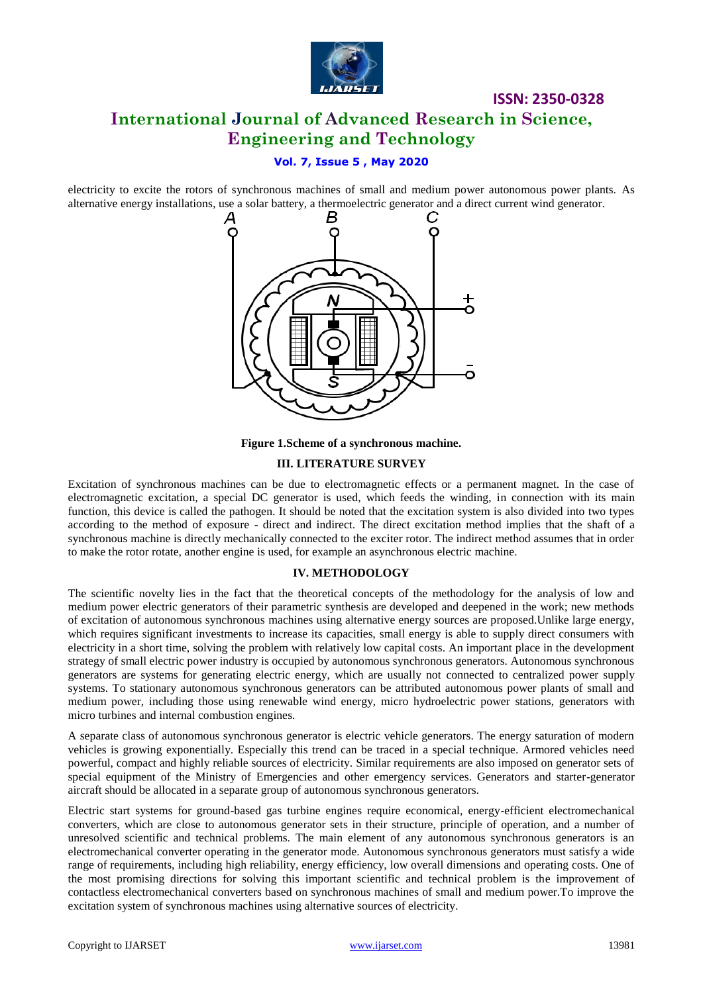

# **ISSN: 2350-0328 International Journal of Advanced Research in Science, Engineering and Technology**

### **Vol. 7, Issue 5 , May 2020**

electricity to excite the rotors of synchronous machines of small and medium power autonomous power plants. As alternative energy installations, use a solar battery, a thermoelectric generator and a direct current wind generator.



**Figure 1.Scheme of a synchronous machine.**

#### **III. LITERATURE SURVEY**

Excitation of synchronous machines can be due to electromagnetic effects or a permanent magnet. In the case of electromagnetic excitation, a special DC generator is used, which feeds the winding, in connection with its main function, this device is called the pathogen. It should be noted that the excitation system is also divided into two types according to the method of exposure - direct and indirect. The direct excitation method implies that the shaft of a synchronous machine is directly mechanically connected to the exciter rotor. The indirect method assumes that in order to make the rotor rotate, another engine is used, for example an asynchronous electric machine.

#### **IV. METHODOLOGY**

The scientific novelty lies in the fact that the theoretical concepts of the methodology for the analysis of low and medium power electric generators of their parametric synthesis are developed and deepened in the work; new methods of excitation of autonomous synchronous machines using alternative energy sources are proposed.Unlike large energy, which requires significant investments to increase its capacities, small energy is able to supply direct consumers with electricity in a short time, solving the problem with relatively low capital costs. An important place in the development strategy of small electric power industry is occupied by autonomous synchronous generators. Autonomous synchronous generators are systems for generating electric energy, which are usually not connected to centralized power supply systems. To stationary autonomous synchronous generators can be attributed autonomous power plants of small and medium power, including those using renewable wind energy, micro hydroelectric power stations, generators with micro turbines and internal combustion engines.

A separate class of autonomous synchronous generator is electric vehicle generators. The energy saturation of modern vehicles is growing exponentially. Especially this trend can be traced in a special technique. Armored vehicles need powerful, compact and highly reliable sources of electricity. Similar requirements are also imposed on generator sets of special equipment of the Ministry of Emergencies and other emergency services. Generators and starter-generator aircraft should be allocated in a separate group of autonomous synchronous generators.

Electric start systems for ground-based gas turbine engines require economical, energy-efficient electromechanical converters, which are close to autonomous generator sets in their structure, principle of operation, and a number of unresolved scientific and technical problems. The main element of any autonomous synchronous generators is an electromechanical converter operating in the generator mode. Autonomous synchronous generators must satisfy a wide range of requirements, including high reliability, energy efficiency, low overall dimensions and operating costs. One of the most promising directions for solving this important scientific and technical problem is the improvement of contactless electromechanical converters based on synchronous machines of small and medium power.To improve the excitation system of synchronous machines using alternative sources of electricity.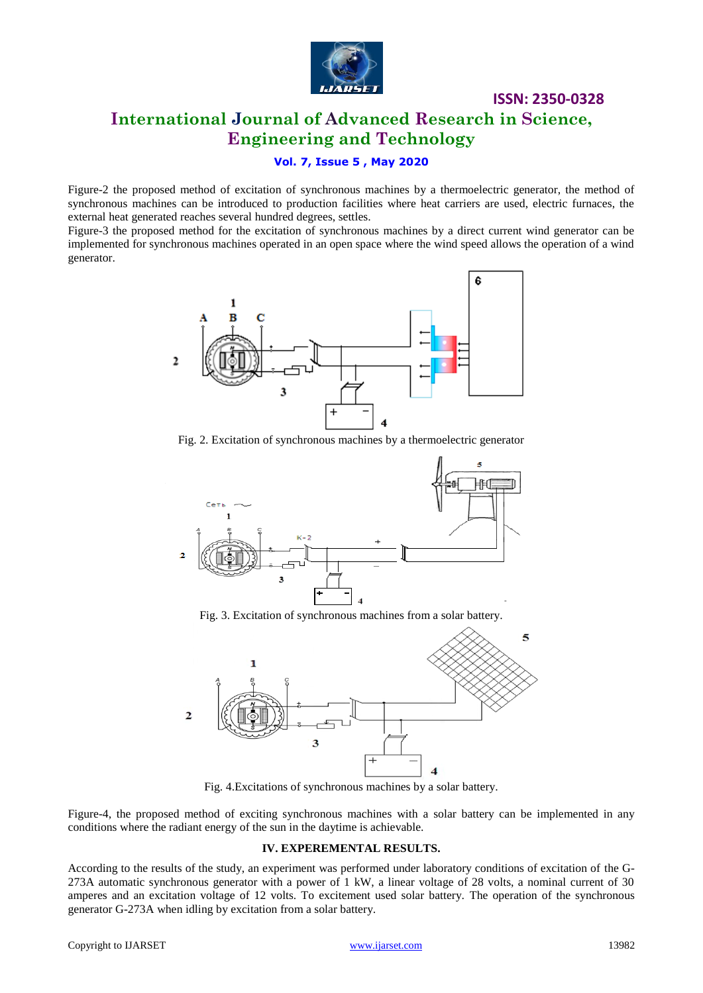

# **International Journal of Advanced Research in Science, Engineering and Technology**

#### **Vol. 7, Issue 5 , May 2020**

Figure-2 the proposed method of excitation of synchronous machines by a thermoelectric generator, the method of synchronous machines can be introduced to production facilities where heat carriers are used, electric furnaces, the external heat generated reaches several hundred degrees, settles.

Figure-3 the proposed method for the excitation of synchronous machines by a direct current wind generator can be implemented for synchronous machines operated in an open space where the wind speed allows the operation of a wind generator.



Fig. 2. Excitation of synchronous machines by a thermoelectric generator



Fig. 3. Excitation of synchronous machines from a solar battery.



Fig. 4.Excitations of synchronous machines by a solar battery.

Figure-4, the proposed method of exciting synchronous machines with a solar battery can be implemented in any conditions where the radiant energy of the sun in the daytime is achievable.

#### **IV. EXPEREMENTAL RESULTS.**

According to the results of the study, an experiment was performed under laboratory conditions of excitation of the G-273A automatic synchronous generator with a power of 1 kW, a linear voltage of 28 volts, a nominal current of 30 amperes and an excitation voltage of 12 volts. To excitement used solar battery. The operation of the synchronous generator G-273A when idling by excitation from a solar battery.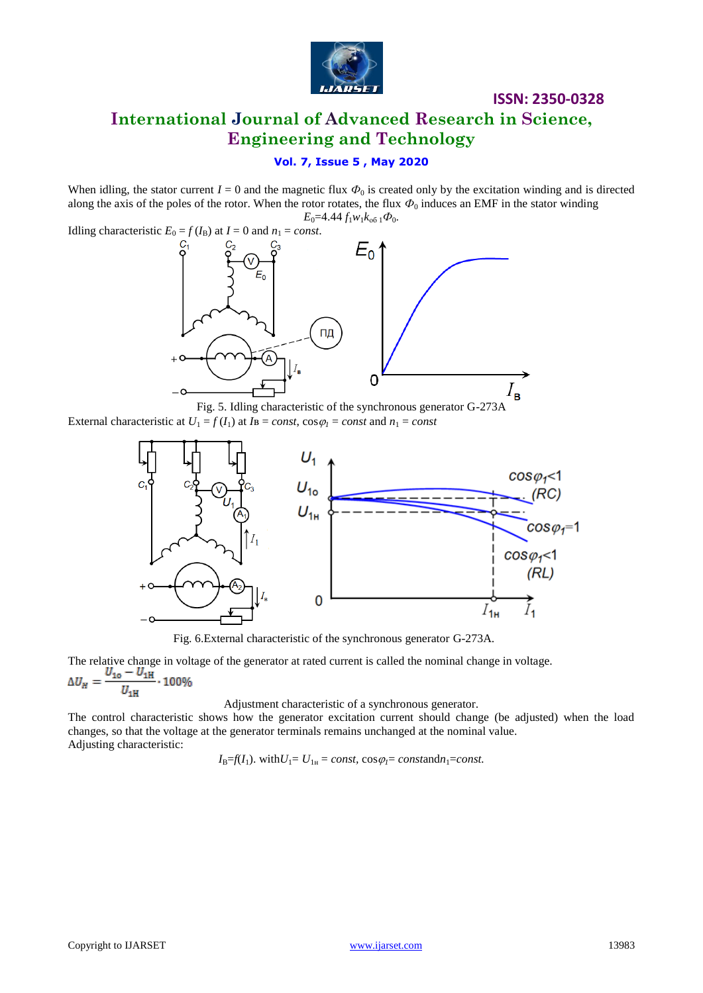

**International Journal of Advanced Research in Science, Engineering and Technology**

### **Vol. 7, Issue 5 , May 2020**

When idling, the stator current  $I = 0$  and the magnetic flux  $\Phi_0$  is created only by the excitation winding and is directed along the axis of the poles of the rotor. When the rotor rotates, the flux  $\Phi_0$  induces an EMF in the stator winding  $E_0$ =4.44  $f_1w_1k_{00}$   $\phi_0$ .

Idling characteristic  $E_0 = f(I_B)$  at  $I = 0$  and  $n_1 = const.$ 



Fig. 5. Idling characteristic of the synchronous generator G-273A

External characteristic at  $U_1 = f(I_1)$  at  $I_B = const$ ,  $\cos \varphi_1 = const$  and  $n_1 = const$ 



Fig. 6.External characteristic of the synchronous generator G-273A.

The relative change in voltage of the generator at rated current is called the nominal change in voltage.<br> $\Delta U_H = \frac{U_{10} - U_{1H}}{U_{1H}}$ . 100%

Adjustment characteristic of a synchronous generator.

The control characteristic shows how the generator excitation current should change (be adjusted) when the load changes, so that the voltage at the generator terminals remains unchanged at the nominal value. Adjusting characteristic:

 $I_{\text{B}}=f(I_1)$ . with $U_1=U_{1\text{H}}=const$ ,  $\cos\varphi_1=constant_1=const$ .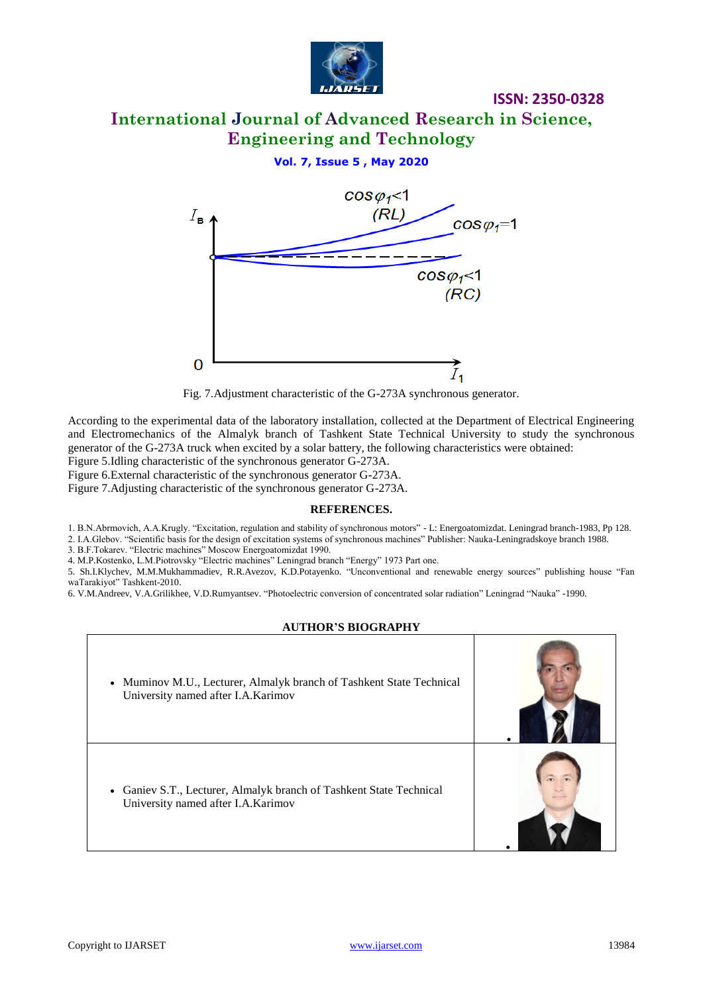

# **International Journal of Advanced Research in Science, Engineering and Technology**

**ISSN: 2350-0328**

### **Vol. 7, Issue 5 , May 2020**



Fig. 7.Adjustment characteristic of the G-273A synchronous generator.

According to the experimental data of the laboratory installation, collected at the Department of Electrical Engineering and Electromechanics of the Almalyk branch of Tashkent State Technical University to study the synchronous generator of the G-273A truck when excited by a solar battery, the following characteristics were obtained:

Figure 5.Idling characteristic of the synchronous generator G-273A.

Figure 6.External characteristic of the synchronous generator G-273A.

Figure 7.Adjusting characteristic of the synchronous generator G-273A.

#### **REFERENCES.**

1. B.N.Abrmovich, A.A.Krugly. "Excitation, regulation and stability of synchronous motors" - L: Energoatomizdat. Leningrad branch-1983, Pp 128.

2. I.A.Glebov. "Scientific basis for the design of excitation systems of synchronous machines" Publisher: Nauka-Leningradskoye branch 1988. 3. B.F.Tokarev. "Electric machines" Moscow Energoatomizdat 1990.

4. M.P.Kostenko, L.M.Piotrovsky "Electric machines" Leningrad branch "Energy" 1973 Part one.

5. Sh.I.Klychev, M.M.Mukhammadiev, R.R.Avezov, K.D.Potayenko. "Unconventional and renewable energy sources" publishing house "Fan waTarakiyot" Tashkent-2010.

6. V.M.Andreev, V.A.Grilikhee, V.D.Rumyantsev. "Photoelectric conversion of concentrated solar radiation" Leningrad "Nauka" -1990.

#### **AUTHOR'S BIOGRAPHY**